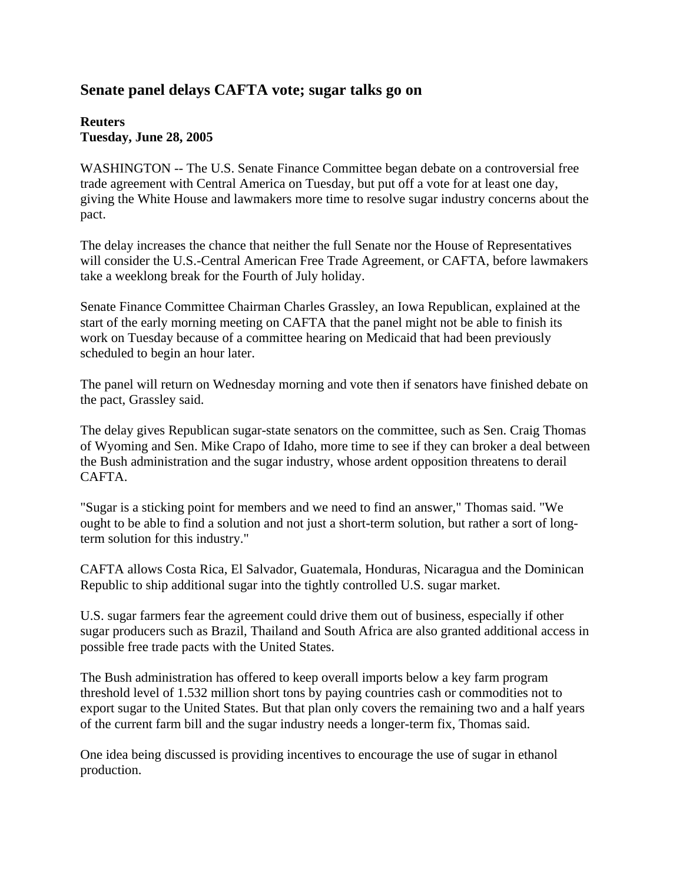## **Senate panel delays CAFTA vote; sugar talks go on**

## **Reuters Tuesday, June 28, 2005**

WASHINGTON -- The U.S. Senate Finance Committee began debate on a controversial free trade agreement with Central America on Tuesday, but put off a vote for at least one day, giving the White House and lawmakers more time to resolve sugar industry concerns about the pact.

The delay increases the chance that neither the full Senate nor the House of Representatives will consider the U.S.-Central American Free Trade Agreement, or CAFTA, before lawmakers take a weeklong break for the Fourth of July holiday.

Senate Finance Committee Chairman Charles Grassley, an Iowa Republican, explained at the start of the early morning meeting on CAFTA that the panel might not be able to finish its work on Tuesday because of a committee hearing on Medicaid that had been previously scheduled to begin an hour later.

The panel will return on Wednesday morning and vote then if senators have finished debate on the pact, Grassley said.

The delay gives Republican sugar-state senators on the committee, such as Sen. Craig Thomas of Wyoming and Sen. Mike Crapo of Idaho, more time to see if they can broker a deal between the Bush administration and the sugar industry, whose ardent opposition threatens to derail CAFTA.

"Sugar is a sticking point for members and we need to find an answer," Thomas said. "We ought to be able to find a solution and not just a short-term solution, but rather a sort of longterm solution for this industry."

CAFTA allows Costa Rica, El Salvador, Guatemala, Honduras, Nicaragua and the Dominican Republic to ship additional sugar into the tightly controlled U.S. sugar market.

U.S. sugar farmers fear the agreement could drive them out of business, especially if other sugar producers such as Brazil, Thailand and South Africa are also granted additional access in possible free trade pacts with the United States.

The Bush administration has offered to keep overall imports below a key farm program threshold level of 1.532 million short tons by paying countries cash or commodities not to export sugar to the United States. But that plan only covers the remaining two and a half years of the current farm bill and the sugar industry needs a longer-term fix, Thomas said.

One idea being discussed is providing incentives to encourage the use of sugar in ethanol production.